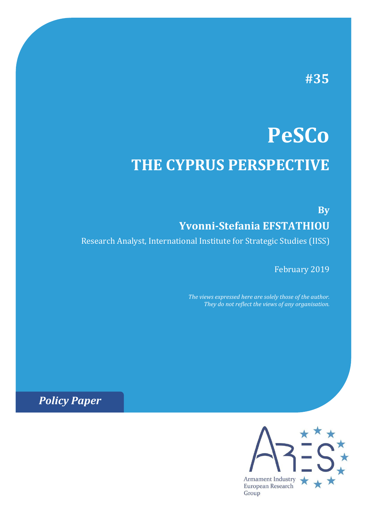# **#35**

# **PeSCo THE CYPRUS PERSPECTIVE**

# **By Yvonni-Stefania EFSTATHIOU**

Research Analyst, International Institute for Strategic Studies (IISS)

February 2019

*The views expressed here are solely those of the author. They do not reflect the views of any organisation.*

*Policy Paper*

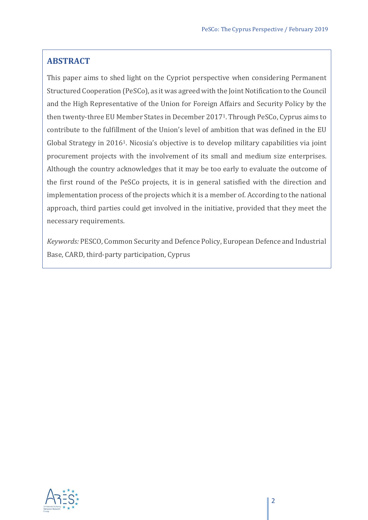#### **ABSTRACT**

This paper aims to shed light on the Cypriot perspective when considering Permanent Structured Cooperation (PeSCo), as it was agreed with the Joint Notification to the Council and the High Representative of the Union for Foreign Affairs and Security Policy by the then twenty-three EU Member States in December 20171. Through PeSCo, Cyprus aims to contribute to the fulfillment of the Union's level of ambition that was defined in the EU Global Strategy in 20161. Nicosia's objective is to develop military capabilities via joint procurement projects with the involvement of its small and medium size enterprises. Although the country acknowledges that it may be too early to evaluate the outcome of the first round of the PeSCo projects, it is in general satisfied with the direction and implementation process of the projects which it is a member of. According to the national approach, third parties could get involved in the initiative, provided that they meet the necessary requirements.

*Keywords:* PESCO, Common Security and Defence Policy, European Defence and Industrial Base, CARD, third-party participation, Cyprus

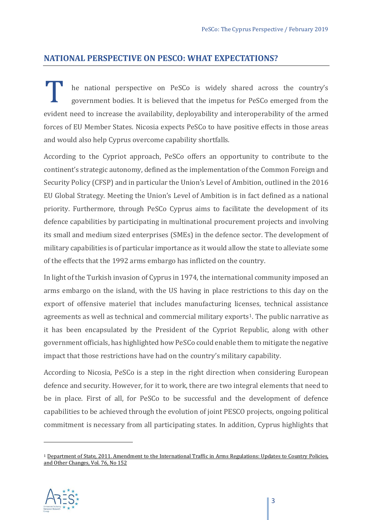#### **NATIONAL PERSPECTIVE ON PESCO: WHAT EXPECTATIONS?**

he national perspective on PeSCo is widely shared across the country's government bodies. It is believed that the impetus for PeSCo emerged from the I also he national perspective on PeSCo is widely shared across the country's government bodies. It is believed that the impetus for PeSCo emerged from the evident need to increase the availability, deployability and inter forces of EU Member States. Nicosia expects PeSCo to have positive effects in those areas and would also help Cyprus overcome capability shortfalls.

According to the Cypriot approach, PeSCo offers an opportunity to contribute to the continent's strategic autonomy, defined as the implementation of the Common Foreign and Security Policy (CFSP) and in particular the Union's Level of Ambition, outlined in the 2016 EU Global Strategy. Meeting the Union's Level of Ambition is in fact defined as a national priority. Furthermore, through PeSCo Cyprus aims to facilitate the development of its defence capabilities by participating in multinational procurement projects and involving its small and medium sized enterprises (SMEs) in the defence sector. The development of military capabilities is of particular importance as it would allow the state to alleviate some of the effects that the 1992 arms embargo has inflicted on the country.

In light of the Turkish invasion of Cyprus in 1974, the international community imposed an arms embargo on the island, with the US having in place restrictions to this day on the export of offensive materiel that includes manufacturing licenses, technical assistance agreements as well as technical and commercial military exports<sup>1</sup>. The public narrative as it has been encapsulated by the President of the Cypriot Republic, along with other government officials, has highlighted how PeSCo could enable them to mitigate the negative impact that those restrictions have had on the country's military capability.

According to Nicosia, PeSCo is a step in the right direction when considering European defence and security. However, for it to work, there are two integral elements that need to be in place. First of all, for PeSCo to be successful and the development of defence capabilities to be achieved through the evolution of joint PESCO projects, ongoing political commitment is necessary from all participating states. In addition, Cyprus highlights that

<span id="page-2-0"></span><sup>&</sup>lt;sup>1</sup> Department of State, 2011. Amendment to the International Traffic in Arms Regulations: Updates to Country Policies, [and Other Changes, Vol. 76, No 152](https://www.pmddtc.state.gov/sys_attachment.do?sysparm_referring_url=tear_off&view=true&sys_id=c1a9d8a0db959b0044f9ff621f961915)

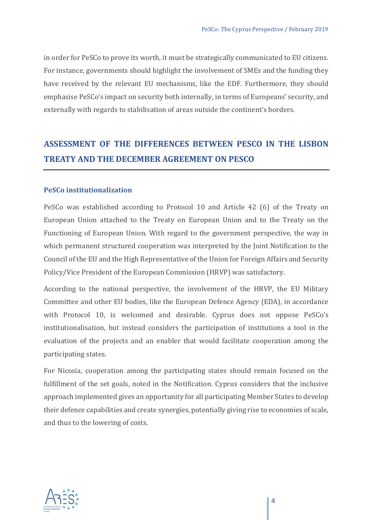in order for PeSCo to prove its worth, it must be strategically communicated to EU citizens. For instance, governments should highlight the involvement of SMEs and the funding they have received by the relevant EU mechanisms, like the EDF. Furthermore, they should emphasise PeSCo's impact on security both internally, in terms of Europeans' security, and externally with regards to stabilisation of areas outside the continent's borders.

## **ASSESSMENT OF THE DIFFERENCES BETWEEN PESCO IN THE LISBON TREATY AND THE DECEMBER AGREEMENT ON PESCO**

#### **PeSCo institutionalization**

PeSCo was established according to Protocol 10 and Article 42 (6) of the Treaty on European Union attached to the Treaty on European Union and to the Treaty on the Functioning of European Union. With regard to the government perspective, the way in which permanent structured cooperation was interpreted by the Joint Notification to the Council of the EU and the High Representative of the Union for Foreign Affairs and Security Policy/Vice President of the European Commission (HRVP) was satisfactory.

According to the national perspective, the involvement of the HRVP, the EU Military Committee and other EU bodies, like the European Defence Agency (EDA), in accordance with Protocol 10, is welcomed and desirable. Cyprus does not oppose PeSCo's institutionalisation, but instead considers the participation of institutions a tool in the evaluation of the projects and an enabler that would facilitate cooperation among the participating states.

For Nicosia, cooperation among the participating states should remain focused on the fulfillment of the set goals, noted in the Notification. Cyprus considers that the inclusive approach implemented gives an opportunity for all participating Member States to develop their defence capabilities and create synergies, potentially giving rise to economies of scale, and thus to the lowering of costs.

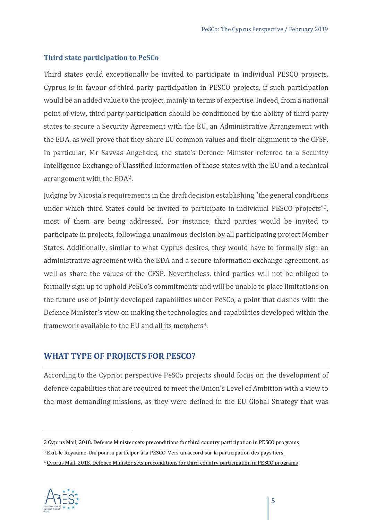#### **Third state participation to PeSCo**

Third states could exceptionally be invited to participate in individual PESCO projects. Cyprus is in favour of third party participation in PESCO projects, if such participation would be an added value to the project, mainly in terms of expertise. Indeed, from a national point of view, third party participation should be conditioned by the ability of third party states to secure a Security Agreement with the EU, an Administrative Arrangement with the EDA, as well prove that they share EU common values and their alignment to the CFSP. In particular, Mr Savvas Angelides, the state's Defence Minister referred to a Security Intelligence Exchange of Classified Information of those states with the EU and a technical arrangement with the EDA[2.](#page-4-0)

Judging by Nicosia's requirements in the draft decision establishing "the general conditions under which third States could be invited to participate in individual PESCO projects"[3](#page-4-1), most of them are being addressed. For instance, third parties would be invited to participate in projects, following a unanimous decision by all participating project Member States. Additionally, similar to what Cyprus desires, they would have to formally sign an administrative agreement with the EDA and a secure information exchange agreement, as well as share the values of the CFSP. Nevertheless, third parties will not be obliged to formally sign up to uphold PeSCo's commitments and will be unable to place limitations on the future use of jointly developed capabilities under PeSCo, a point that clashes with the Defence Minister's view on making the technologies and capabilities developed within the framework available to the EU and all its members<sup>[4](#page-4-2)</sup>.

#### **WHAT TYPE OF PROJECTS FOR PESCO?**

According to the Cypriot perspective PeSCo projects should focus on the development of defence capabilities that are required to meet the Union's Level of Ambition with a view to the most demanding missions, as they were defined in the EU Global Strategy that was

<span id="page-4-2"></span><span id="page-4-1"></span><sup>4</sup> [Cyprus Mail, 2018. Defence Minister sets preconditions for third country participation in PESCO programs](https://cyprus-mail.com/2018/08/31/defence-minister-sets-preconditions-for-third-country-participation-in-pesco-programs/)



<span id="page-4-0"></span><sup>2</sup> Cyprus Mail, 2018. Defence Minister sets preconditions for third country participation in PESCO programs

<sup>&</sup>lt;sup>3</sup> [Exit, le Royaume-Uni pourra participer à la PESCO. Vers un accord sur la participation des pays tiers](http://europes.fr/exit-le-royaume-uni-pourra-participer-a-la-pesco-vers-un-accord-sur-la-participation-des-pays-tiers/)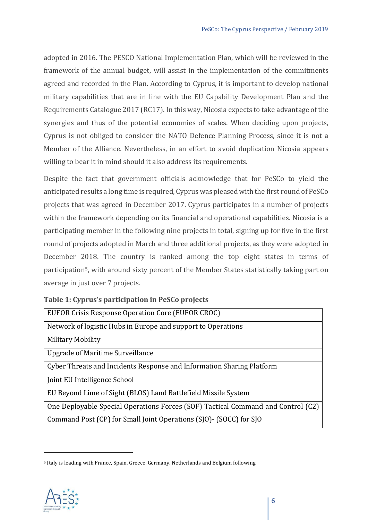adopted in 2016. The PESCO National Implementation Plan, which will be reviewed in the framework of the annual budget, will assist in the implementation of the commitments agreed and recorded in the Plan. According to Cyprus, it is important to develop national military capabilities that are in line with the EU Capability Development Plan and the Requirements Catalogue 2017 (RC17). In this way, Nicosia expects to take advantage of the synergies and thus of the potential economies of scales. When deciding upon projects, Cyprus is not obliged to consider the NATO Defence Planning Process, since it is not a Member of the Alliance. Nevertheless, in an effort to avoid duplication Nicosia appears willing to bear it in mind should it also address its requirements.

Despite the fact that government officials acknowledge that for PeSCo to yield the anticipated results a long time is required, Cyprus was pleased with the first round of PeSCo projects that was agreed in December 2017. Cyprus participates in a number of projects within the framework depending on its financial and operational capabilities. Nicosia is a participating member in the following nine projects in total, signing up for five in the first round of projects adopted in March and three additional projects, as they were adopted in December 2018. The country is ranked among the top eight states in terms of participation<sup>[5](#page-5-0)</sup>, with around sixty percent of the Member States statistically taking part on average in just over 7 projects.

|  |  |  | Table 1: Cyprus's participation in PeSCo projects |  |  |  |
|--|--|--|---------------------------------------------------|--|--|--|
|--|--|--|---------------------------------------------------|--|--|--|

| EUFOR Crisis Response Operation Core (EUFOR CROC)                                |  |  |  |  |
|----------------------------------------------------------------------------------|--|--|--|--|
| Network of logistic Hubs in Europe and support to Operations                     |  |  |  |  |
| Military Mobility                                                                |  |  |  |  |
| Upgrade of Maritime Surveillance                                                 |  |  |  |  |
| Cyber Threats and Incidents Response and Information Sharing Platform            |  |  |  |  |
| Joint EU Intelligence School                                                     |  |  |  |  |
| EU Beyond Lime of Sight (BLOS) Land Battlefield Missile System                   |  |  |  |  |
| One Deployable Special Operations Forces (SOF) Tactical Command and Control (C2) |  |  |  |  |
| Command Post (CP) for Small Joint Operations (SJO) - (SOCC) for SJO              |  |  |  |  |

<span id="page-5-0"></span><sup>5</sup> Italy is leading with France, Spain, Greece, Germany, Netherlands and Belgium following.

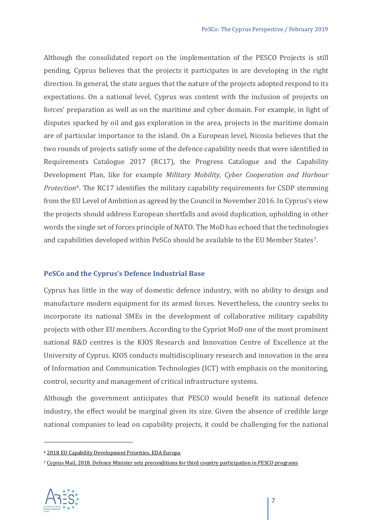Although the consolidated report on the implementation of the PESCO Projects is still pending, Cyprus believes that the projects it participates in are developing in the right direction. In general, the state argues that the nature of the projects adopted respond to its expectations. On a national level, Cyprus was content with the inclusion of projects on forces' preparation as well as on the maritime and cyber domain. For example, in light of disputes sparked by oil and gas exploration in the area, projects in the maritime domain are of particular importance to the island. On a European level, Nicosia believes that the two rounds of projects satisfy some of the defence capability needs that were identified in Requirements Catalogue 2017 (RC17), the Progress Catalogue and the Capability Development Plan, like for example *Military Mobility, Cyber Cooperation and Harbour Protection*[6](#page-6-0). The RC17 identifies the military capability requirements for CSDP stemming from the EU Level of Ambition as agreed by the Council in November 2016. In Cyprus's view the projects should address European shortfalls and avoid duplication, upholding in other words the single set of forces principle of NATO. The MoD has echoed that the technologies and capabilities developed within PeSCo should be available to the EU Member States[7](#page-6-1).

#### **PeSCo and the Cyprus's Defence Industrial Base**

Cyprus has little in the way of domestic defence industry, with no ability to design and manufacture modern equipment for its armed forces. Nevertheless, the country seeks to incorporate its national SMEs in the development of collaborative military capability projects with other EU members. According to the Cypriot MoD one of the most prominent national R&D centres is the KIOS Research and Innovation Centre of Excellence at the University of Cyprus. KIOS conducts multidisciplinary research and innovation in the area of Information and Communication Technologies (ICT) with emphasis on the monitoring, control, security and management of critical infrastructure systems.

Although the government anticipates that PESCO would benefit its national defence industry, the effect would be marginal given its size. Given the absence of credible large national companies to lead on capability projects, it could be challenging for the national

<span id="page-6-1"></span><span id="page-6-0"></span><sup>7</sup> [Cyprus Mail, 2018. Defence Minister sets preconditions for third country participation in PESCO programs](https://cyprus-mail.com/2018/08/31/defence-minister-sets-preconditions-for-third-country-participation-in-pesco-programs/)



<sup>6</sup> [2018 EU Capability Development Priorities, EDA Europa](https://www.eda.europa.eu/docs/default-source/eda-factsheets/2018-06-28-factsheet_cdpb020b03fa4d264cfa776ff000087ef0f)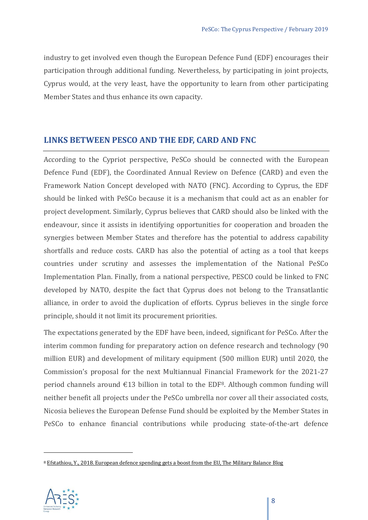industry to get involved even though the European Defence Fund (EDF) encourages their participation through additional funding. Nevertheless, by participating in joint projects, Cyprus would, at the very least, have the opportunity to learn from other participating Member States and thus enhance its own capacity.

#### **LINKS BETWEEN PESCO AND THE EDF, CARD AND FNC**

According to the Cypriot perspective, PeSCo should be connected with the European Defence Fund (EDF), the Coordinated Annual Review on Defence (CARD) and even the Framework Nation Concept developed with NATO (FNC). According to Cyprus, the EDF should be linked with PeSCo because it is a mechanism that could act as an enabler for project development. Similarly, Cyprus believes that CARD should also be linked with the endeavour, since it assists in identifying opportunities for cooperation and broaden the synergies between Member States and therefore has the potential to address capability shortfalls and reduce costs. CARD has also the potential of acting as a tool that keeps countries under scrutiny and assesses the implementation of the National PeSCo Implementation Plan. Finally, from a national perspective, PESCO could be linked to FNC developed by NATO, despite the fact that Cyprus does not belong to the Transatlantic alliance, in order to avoid the duplication of efforts. Cyprus believes in the single force principle, should it not limit its procurement priorities.

The expectations generated by the EDF have been, indeed, significant for PeSCo. After the interim common funding for preparatory action on defence research and technology (90 million EUR) and development of military equipment (500 million EUR) until 2020, the Commission's proposal for the next Multiannual Financial Framework for the 2021-27 period channels around  $\epsilon$ 13 billion in total to the EDF<sup>[8](#page-7-0)</sup>. Although common funding will neither benefit all projects under the PeSCo umbrella nor cover all their associated costs, Nicosia believes the European Defense Fund should be exploited by the Member States in PeSCo to enhance financial contributions while producing state-of-the-art defence

<span id="page-7-0"></span><sup>&</sup>lt;sup>8</sup> Efstathiou, Y., 2018. European defence spending gets a boost from the EU. The Military Balance Blog

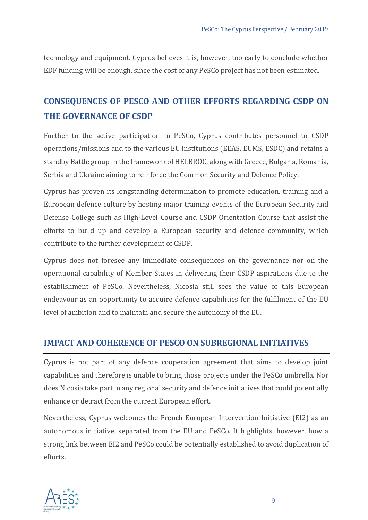technology and equipment. Cyprus believes it is, however, too early to conclude whether EDF funding will be enough, since the cost of any PeSCo project has not been estimated.

## **CONSEQUENCES OF PESCO AND OTHER EFFORTS REGARDING CSDP ON THE GOVERNANCE OF CSDP**

Further to the active participation in PeSCo, Cyprus contributes personnel to CSDP operations/missions and to the various EU institutions (EEAS, EUMS, ESDC) and retains a standby Battle group in the framework of HELBROC, along with Greece, Bulgaria, Romania, Serbia and Ukraine aiming to reinforce the Common Security and Defence Policy.

Cyprus has proven its longstanding determination to promote education, training and a European defence culture by hosting major training events of the European Security and Defense College such as High-Level Course and CSDP Orientation Course that assist the efforts to build up and develop a European security and defence community, which contribute to the further development of CSDP.

Cyprus does not foresee any immediate consequences on the governance nor on the operational capability of Member States in delivering their CSDP aspirations due to the establishment of PeSCo. Nevertheless, Nicosia still sees the value of this European endeavour as an opportunity to acquire defence capabilities for the fulfilment of the EU level of ambition and to maintain and secure the autonomy of the EU.

#### **IMPACT AND COHERENCE OF PESCO ON SUBREGIONAL INITIATIVES**

Cyprus is not part of any defence cooperation agreement that aims to develop joint capabilities and therefore is unable to bring those projects under the PeSCo umbrella. Nor does Nicosia take part in any regional security and defence initiatives that could potentially enhance or detract from the current European effort.

Nevertheless, Cyprus welcomes the French European Intervention Initiative (EI2) as an autonomous initiative, separated from the EU and PeSCo. It highlights, however, how a strong link between EI2 and PeSCo could be potentially established to avoid duplication of efforts.

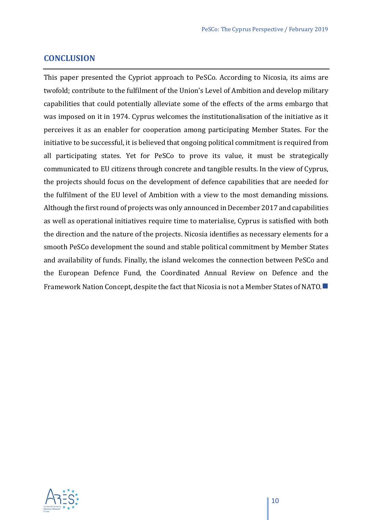#### **CONCLUSION**

This paper presented the Cypriot approach to PeSCo. According to Nicosia, its aims are twofold; contribute to the fulfilment of the Union's Level of Ambition and develop military capabilities that could potentially alleviate some of the effects of the arms embargo that was imposed on it in 1974. Cyprus welcomes the institutionalisation of the initiative as it perceives it as an enabler for cooperation among participating Member States. For the initiative to be successful, it is believed that ongoing political commitment is required from all participating states. Yet for PeSCo to prove its value, it must be strategically communicated to EU citizens through concrete and tangible results. In the view of Cyprus, the projects should focus on the development of defence capabilities that are needed for the fulfilment of the EU level of Ambition with a view to the most demanding missions. Although the first round of projects was only announced in December 2017 and capabilities as well as operational initiatives require time to materialise, Cyprus is satisfied with both the direction and the nature of the projects. Nicosia identifies as necessary elements for a smooth PeSCo development the sound and stable political commitment by Member States and availability of funds. Finally, the island welcomes the connection between PeSCo and the European Defence Fund, the Coordinated Annual Review on Defence and the Framework Nation Concept, despite the fact that Nicosia is not a Member States of NATO.